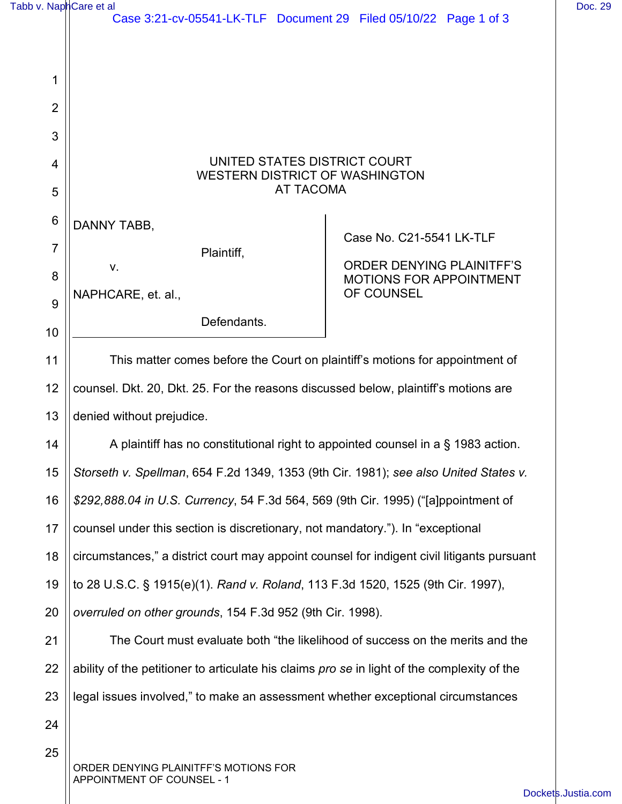| Tabb v. NaphCare et al | Case 3:21-cv-05541-LK-TLF Document 29 Filed 05/10/22 Page 1 of 3                            |                                                                                         | Doc. 29 |
|------------------------|---------------------------------------------------------------------------------------------|-----------------------------------------------------------------------------------------|---------|
|                        |                                                                                             |                                                                                         |         |
| 1                      |                                                                                             |                                                                                         |         |
| $\overline{2}$         |                                                                                             |                                                                                         |         |
| 3                      |                                                                                             |                                                                                         |         |
| 4                      | UNITED STATES DISTRICT COURT<br><b>WESTERN DISTRICT OF WASHINGTON</b><br><b>AT TACOMA</b>   |                                                                                         |         |
| 5                      |                                                                                             |                                                                                         |         |
| $6\phantom{1}6$        | DANNY TABB,                                                                                 |                                                                                         |         |
| $\overline{7}$         | Plaintiff,<br>V.                                                                            | Case No. C21-5541 LK-TLF<br><b>ORDER DENYING PLAINITFF'S</b><br>MOTIONS FOR APPOINTMENT |         |
| 8                      |                                                                                             |                                                                                         |         |
| 9                      | NAPHCARE, et. al.,                                                                          | OF COUNSEL                                                                              |         |
| 10                     | Defendants.                                                                                 |                                                                                         |         |
| 11                     | This matter comes before the Court on plaintiff's motions for appointment of                |                                                                                         |         |
| 12                     | counsel. Dkt. 20, Dkt. 25. For the reasons discussed below, plaintiff's motions are         |                                                                                         |         |
| 13                     | denied without prejudice.                                                                   |                                                                                         |         |
| 14                     | A plaintiff has no constitutional right to appointed counsel in a § 1983 action.            |                                                                                         |         |
| 15                     | Storseth v. Spellman, 654 F.2d 1349, 1353 (9th Cir. 1981); see also United States v.        |                                                                                         |         |
| 16                     | \$292,888.04 in U.S. Currency, 54 F.3d 564, 569 (9th Cir. 1995) ("[a]ppointment of          |                                                                                         |         |
| 17                     | counsel under this section is discretionary, not mandatory."). In "exceptional              |                                                                                         |         |
| 18                     | circumstances," a district court may appoint counsel for indigent civil litigants pursuant  |                                                                                         |         |
| 19                     | to 28 U.S.C. § 1915(e)(1). Rand v. Roland, 113 F.3d 1520, 1525 (9th Cir. 1997),             |                                                                                         |         |
| 20                     | overruled on other grounds, 154 F.3d 952 (9th Cir. 1998).                                   |                                                                                         |         |
| 21                     | The Court must evaluate both "the likelihood of success on the merits and the               |                                                                                         |         |
| 22                     | ability of the petitioner to articulate his claims pro se in light of the complexity of the |                                                                                         |         |
| 23                     | legal issues involved," to make an assessment whether exceptional circumstances             |                                                                                         |         |
| 24                     |                                                                                             |                                                                                         |         |
| 25                     | ORDER DENYING PLAINITFF'S MOTIONS FOR<br>APPOINTMENT OF COUNSEL - 1                         |                                                                                         |         |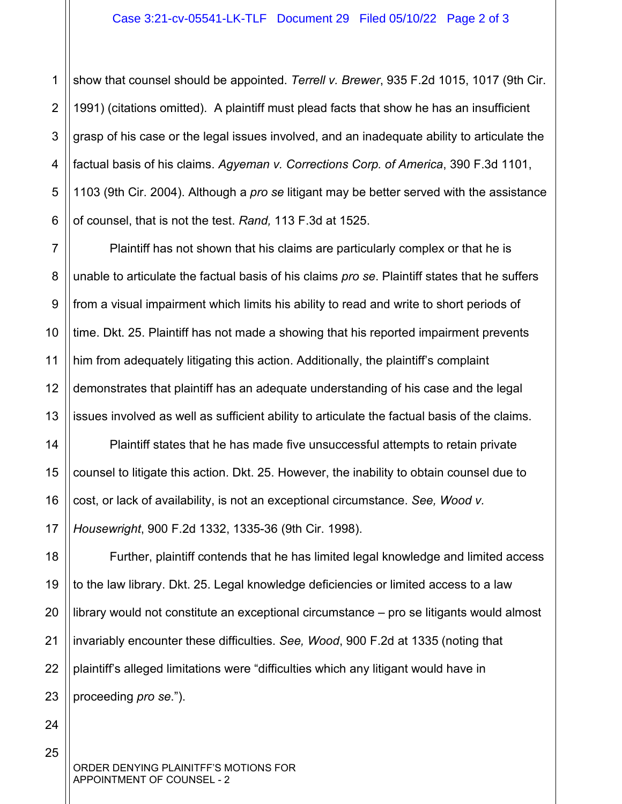1 2 3 4 5 6 show that counsel should be appointed. *Terrell v. Brewer*, 935 F.2d 1015, 1017 (9th Cir. 1991) (citations omitted). A plaintiff must plead facts that show he has an insufficient grasp of his case or the legal issues involved, and an inadequate ability to articulate the factual basis of his claims. *Agyeman v. Corrections Corp. of America*, 390 F.3d 1101, 1103 (9th Cir. 2004). Although a *pro se* litigant may be better served with the assistance of counsel, that is not the test. *Rand,* 113 F.3d at 1525.

Plaintiff has not shown that his claims are particularly complex or that he is unable to articulate the factual basis of his claims *pro se*. Plaintiff states that he suffers from a visual impairment which limits his ability to read and write to short periods of time. Dkt. 25. Plaintiff has not made a showing that his reported impairment prevents him from adequately litigating this action. Additionally, the plaintiff's complaint demonstrates that plaintiff has an adequate understanding of his case and the legal issues involved as well as sufficient ability to articulate the factual basis of the claims.

14 15 16 17 Plaintiff states that he has made five unsuccessful attempts to retain private counsel to litigate this action. Dkt. 25. However, the inability to obtain counsel due to cost, or lack of availability, is not an exceptional circumstance. *See, Wood v. Housewright*, 900 F.2d 1332, 1335-36 (9th Cir. 1998).

18 19 20 21 22 23 Further, plaintiff contends that he has limited legal knowledge and limited access to the law library. Dkt. 25. Legal knowledge deficiencies or limited access to a law library would not constitute an exceptional circumstance – pro se litigants would almost invariably encounter these difficulties. *See, Wood*, 900 F.2d at 1335 (noting that plaintiff's alleged limitations were "difficulties which any litigant would have in proceeding *pro se*.").

24

25

7

8

9

10

11

12

13